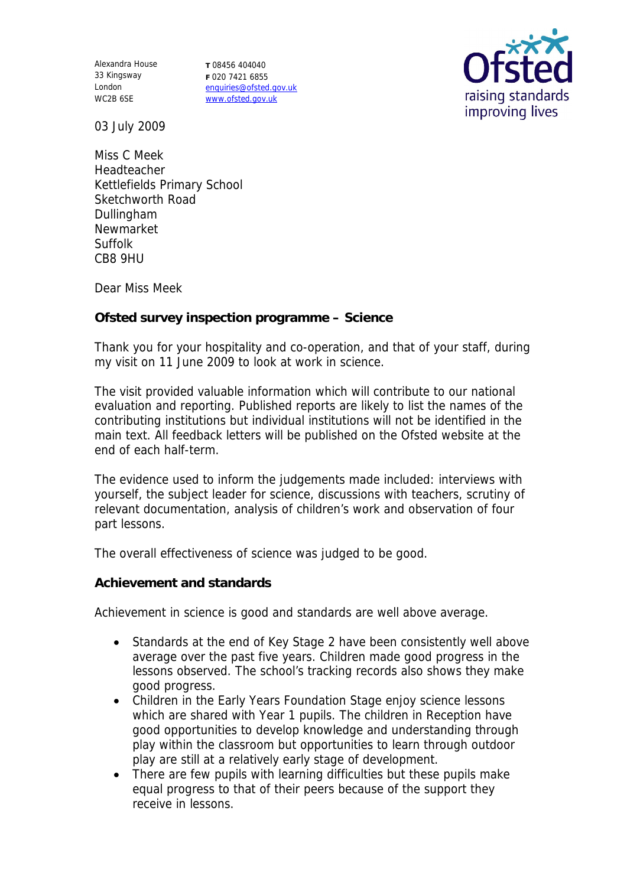Alexandra House 33 Kingsway London WC2B 6SE

**T** 08456 404040 **F** 020 7421 6855 enquiries@ofsted.gov.uk www.ofsted.gov.uk



03 July 2009

Miss C Meek Headteacher Kettlefields Primary School Sketchworth Road Dullingham Newmarket Suffolk CB8 9HU

Dear Miss Meek

**Ofsted survey inspection programme – Science**

Thank you for your hospitality and co-operation, and that of your staff, during my visit on 11 June 2009 to look at work in science.

The visit provided valuable information which will contribute to our national evaluation and reporting. Published reports are likely to list the names of the contributing institutions but individual institutions will not be identified in the main text. All feedback letters will be published on the Ofsted website at the end of each half-term.

The evidence used to inform the judgements made included: interviews with yourself, the subject leader for science, discussions with teachers, scrutiny of relevant documentation, analysis of children's work and observation of four part lessons.

The overall effectiveness of science was judged to be good.

**Achievement and standards**

Achievement in science is good and standards are well above average.

- Standards at the end of Key Stage 2 have been consistently well above average over the past five years. Children made good progress in the lessons observed. The school's tracking records also shows they make good progress.
- Children in the Early Years Foundation Stage enjoy science lessons which are shared with Year 1 pupils. The children in Reception have good opportunities to develop knowledge and understanding through play within the classroom but opportunities to learn through outdoor play are still at a relatively early stage of development.
- There are few pupils with learning difficulties but these pupils make equal progress to that of their peers because of the support they receive in lessons.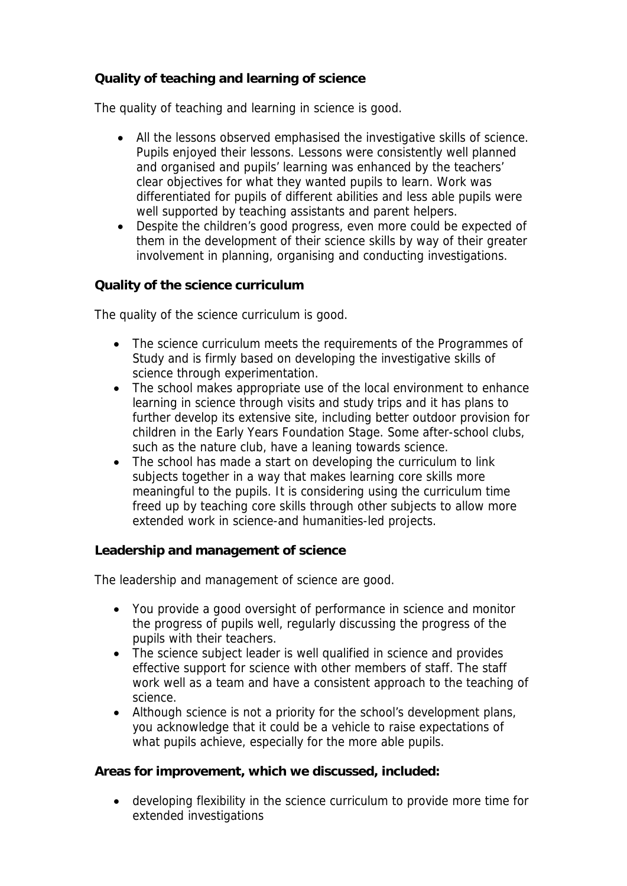## **Quality of teaching and learning of science**

The quality of teaching and learning in science is good.

- All the lessons observed emphasised the investigative skills of science. Pupils enjoyed their lessons. Lessons were consistently well planned and organised and pupils' learning was enhanced by the teachers' clear objectives for what they wanted pupils to learn. Work was differentiated for pupils of different abilities and less able pupils were well supported by teaching assistants and parent helpers.
- Despite the children's good progress, even more could be expected of them in the development of their science skills by way of their greater involvement in planning, organising and conducting investigations.

**Quality of the science curriculum**

The quality of the science curriculum is good.

- The science curriculum meets the requirements of the Programmes of Study and is firmly based on developing the investigative skills of science through experimentation.
- The school makes appropriate use of the local environment to enhance learning in science through visits and study trips and it has plans to further develop its extensive site, including better outdoor provision for children in the Early Years Foundation Stage. Some after-school clubs, such as the nature club, have a leaning towards science.
- The school has made a start on developing the curriculum to link subjects together in a way that makes learning core skills more meaningful to the pupils. It is considering using the curriculum time freed up by teaching core skills through other subjects to allow more extended work in science-and humanities-led projects.

**Leadership and management of science**

The leadership and management of science are good.

- You provide a good oversight of performance in science and monitor the progress of pupils well, regularly discussing the progress of the pupils with their teachers.
- The science subject leader is well qualified in science and provides effective support for science with other members of staff. The staff work well as a team and have a consistent approach to the teaching of science.
- Although science is not a priority for the school's development plans, you acknowledge that it could be a vehicle to raise expectations of what pupils achieve, especially for the more able pupils.

**Areas for improvement, which we discussed, included:**

 developing flexibility in the science curriculum to provide more time for extended investigations